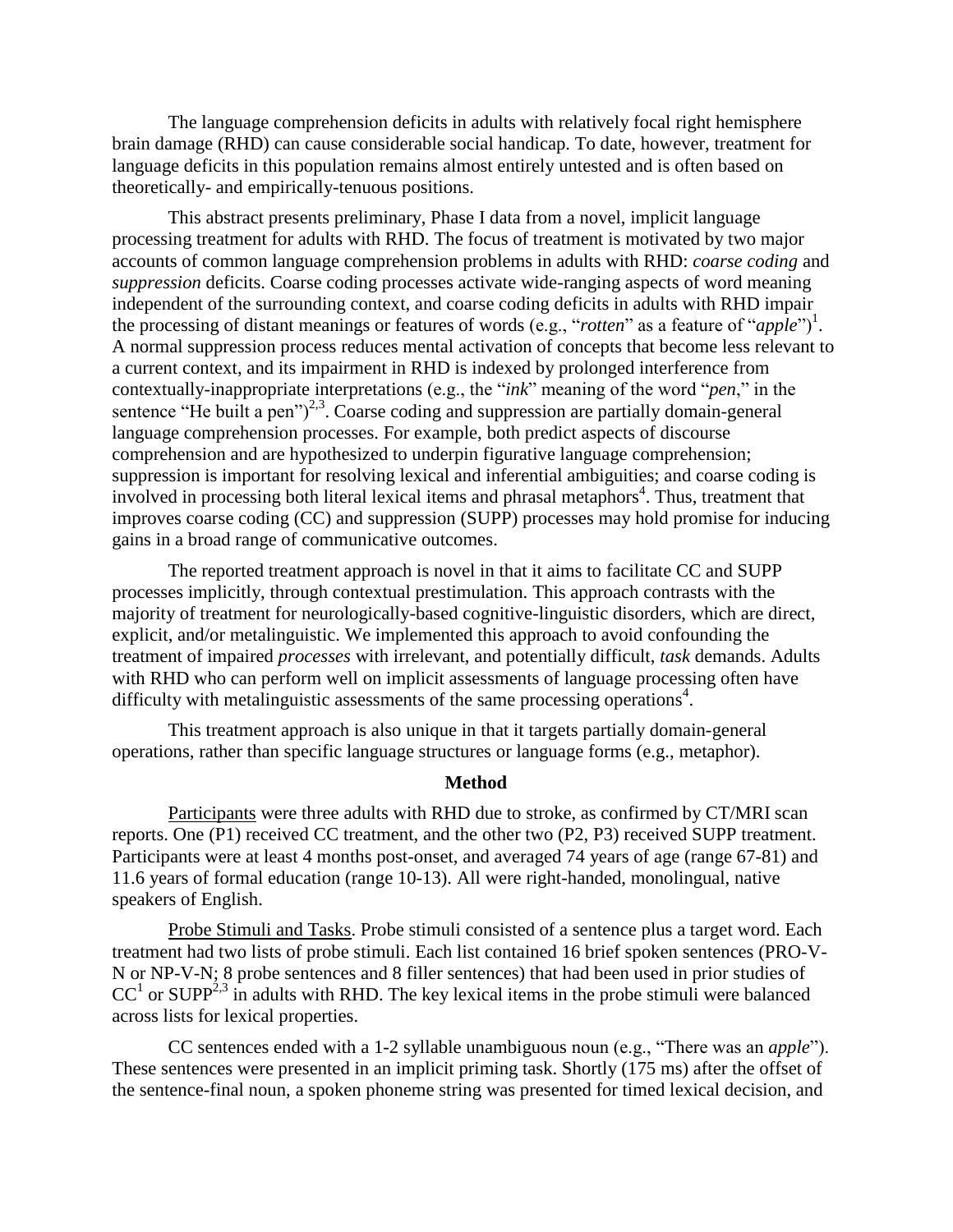The language comprehension deficits in adults with relatively focal right hemisphere brain damage (RHD) can cause considerable social handicap. To date, however, treatment for language deficits in this population remains almost entirely untested and is often based on theoretically- and empirically-tenuous positions.

This abstract presents preliminary, Phase I data from a novel, implicit language processing treatment for adults with RHD. The focus of treatment is motivated by two major accounts of common language comprehension problems in adults with RHD: *coarse coding* and *suppression* deficits. Coarse coding processes activate wide-ranging aspects of word meaning independent of the surrounding context, and coarse coding deficits in adults with RHD impair the processing of distant meanings or features of words (e.g., "*rotten*" as a feature of "*apple*")<sup>1</sup>. A normal suppression process reduces mental activation of concepts that become less relevant to a current context, and its impairment in RHD is indexed by prolonged interference from contextually-inappropriate interpretations (e.g., the "*ink*" meaning of the word "*pen*," in the sentence "He built a pen" $)^{2,3}$ . Coarse coding and suppression are partially domain-general language comprehension processes. For example, both predict aspects of discourse comprehension and are hypothesized to underpin figurative language comprehension; suppression is important for resolving lexical and inferential ambiguities; and coarse coding is involved in processing both literal lexical items and phrasal metaphors<sup>4</sup>. Thus, treatment that improves coarse coding (CC) and suppression (SUPP) processes may hold promise for inducing gains in a broad range of communicative outcomes.

The reported treatment approach is novel in that it aims to facilitate CC and SUPP processes implicitly, through contextual prestimulation. This approach contrasts with the majority of treatment for neurologically-based cognitive-linguistic disorders, which are direct, explicit, and/or metalinguistic. We implemented this approach to avoid confounding the treatment of impaired *processes* with irrelevant, and potentially difficult, *task* demands. Adults with RHD who can perform well on implicit assessments of language processing often have difficulty with metalinguistic assessments of the same processing operations<sup>4</sup>.

This treatment approach is also unique in that it targets partially domain-general operations, rather than specific language structures or language forms (e.g., metaphor).

## **Method**

Participants were three adults with RHD due to stroke, as confirmed by CT/MRI scan reports. One (P1) received CC treatment, and the other two (P2, P3) received SUPP treatment. Participants were at least 4 months post-onset, and averaged 74 years of age (range 67-81) and 11.6 years of formal education (range 10-13). All were right-handed, monolingual, native speakers of English.

Probe Stimuli and Tasks. Probe stimuli consisted of a sentence plus a target word. Each treatment had two lists of probe stimuli. Each list contained 16 brief spoken sentences (PRO-V-N or NP-V-N; 8 probe sentences and 8 filler sentences) that had been used in prior studies of  $CC<sup>1</sup>$  or SUPP<sup>2,3</sup> in adults with RHD. The key lexical items in the probe stimuli were balanced across lists for lexical properties.

CC sentences ended with a 1-2 syllable unambiguous noun (e.g., "There was an *apple*"). These sentences were presented in an implicit priming task. Shortly (175 ms) after the offset of the sentence-final noun, a spoken phoneme string was presented for timed lexical decision, and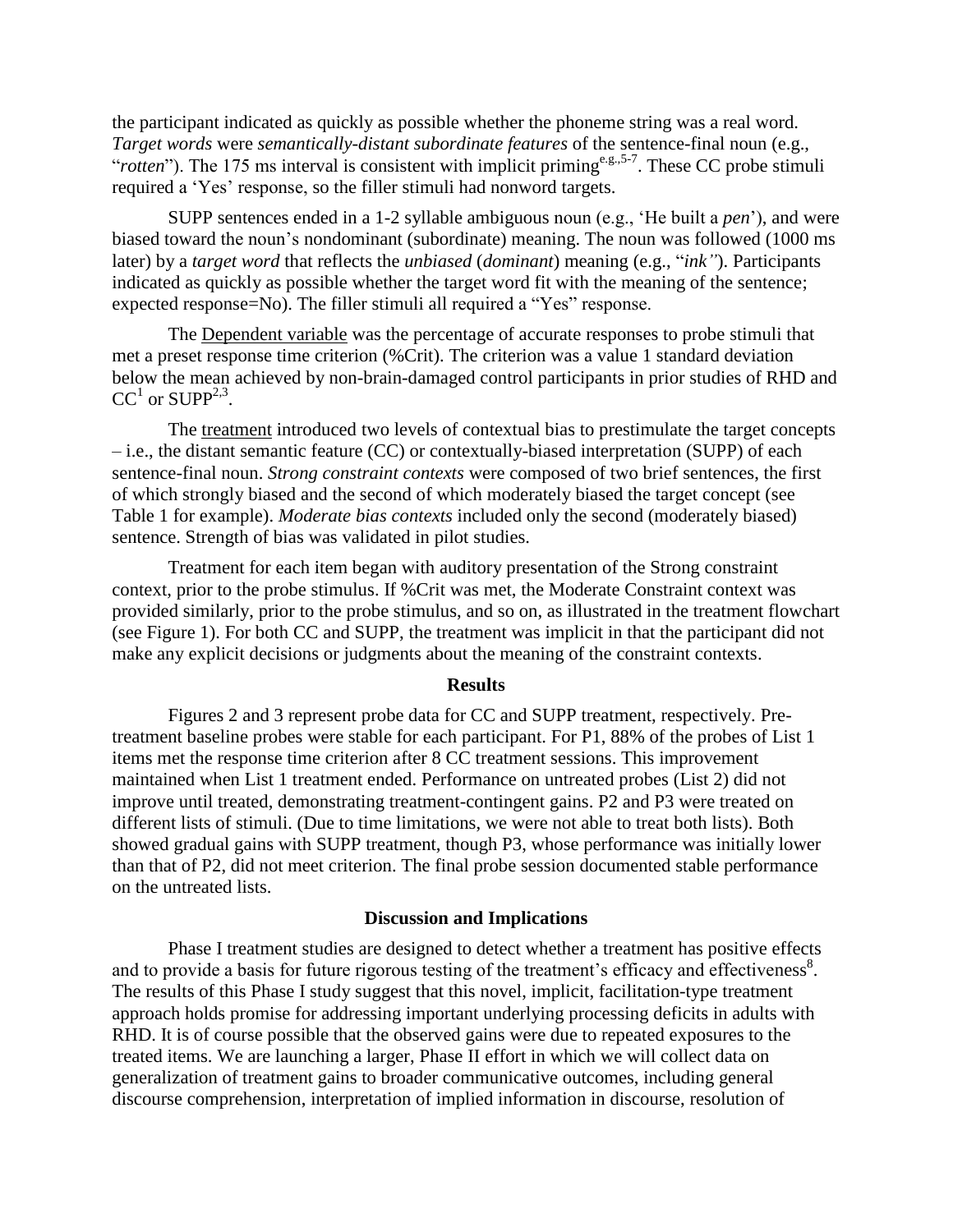the participant indicated as quickly as possible whether the phoneme string was a real word. *Target words* were *semantically-distant subordinate features* of the sentence-final noun (e.g., "*rotten*"). The 175 ms interval is consistent with implicit priming<sup>e.g.,5-7</sup>. These CC probe stimuli required a 'Yes' response, so the filler stimuli had nonword targets.

SUPP sentences ended in a 1-2 syllable ambiguous noun (e.g., "He built a *pen*"), and were biased toward the noun"s nondominant (subordinate) meaning. The noun was followed (1000 ms later) by a *target word* that reflects the *unbiased* (*dominant*) meaning (e.g., "*ink"*). Participants indicated as quickly as possible whether the target word fit with the meaning of the sentence; expected response=No). The filler stimuli all required a "Yes" response.

The Dependent variable was the percentage of accurate responses to probe stimuli that met a preset response time criterion (%Crit). The criterion was a value 1 standard deviation below the mean achieved by non-brain-damaged control participants in prior studies of RHD and  $CC<sup>1</sup>$  or SUPP<sup>2,3</sup>.

The treatment introduced two levels of contextual bias to prestimulate the target concepts – i.e., the distant semantic feature (CC) or contextually-biased interpretation (SUPP) of each sentence-final noun. *Strong constraint contexts* were composed of two brief sentences, the first of which strongly biased and the second of which moderately biased the target concept (see Table 1 for example). *Moderate bias contexts* included only the second (moderately biased) sentence. Strength of bias was validated in pilot studies.

Treatment for each item began with auditory presentation of the Strong constraint context, prior to the probe stimulus. If %Crit was met, the Moderate Constraint context was provided similarly, prior to the probe stimulus, and so on, as illustrated in the treatment flowchart (see Figure 1). For both CC and SUPP, the treatment was implicit in that the participant did not make any explicit decisions or judgments about the meaning of the constraint contexts.

## **Results**

Figures 2 and 3 represent probe data for CC and SUPP treatment, respectively. Pretreatment baseline probes were stable for each participant. For P1, 88% of the probes of List 1 items met the response time criterion after 8 CC treatment sessions. This improvement maintained when List 1 treatment ended. Performance on untreated probes (List 2) did not improve until treated, demonstrating treatment-contingent gains. P2 and P3 were treated on different lists of stimuli. (Due to time limitations, we were not able to treat both lists). Both showed gradual gains with SUPP treatment, though P3, whose performance was initially lower than that of P2, did not meet criterion. The final probe session documented stable performance on the untreated lists.

## **Discussion and Implications**

Phase I treatment studies are designed to detect whether a treatment has positive effects and to provide a basis for future rigorous testing of the treatment's efficacy and effectiveness<sup>8</sup>. The results of this Phase I study suggest that this novel, implicit, facilitation-type treatment approach holds promise for addressing important underlying processing deficits in adults with RHD. It is of course possible that the observed gains were due to repeated exposures to the treated items. We are launching a larger, Phase II effort in which we will collect data on generalization of treatment gains to broader communicative outcomes, including general discourse comprehension, interpretation of implied information in discourse, resolution of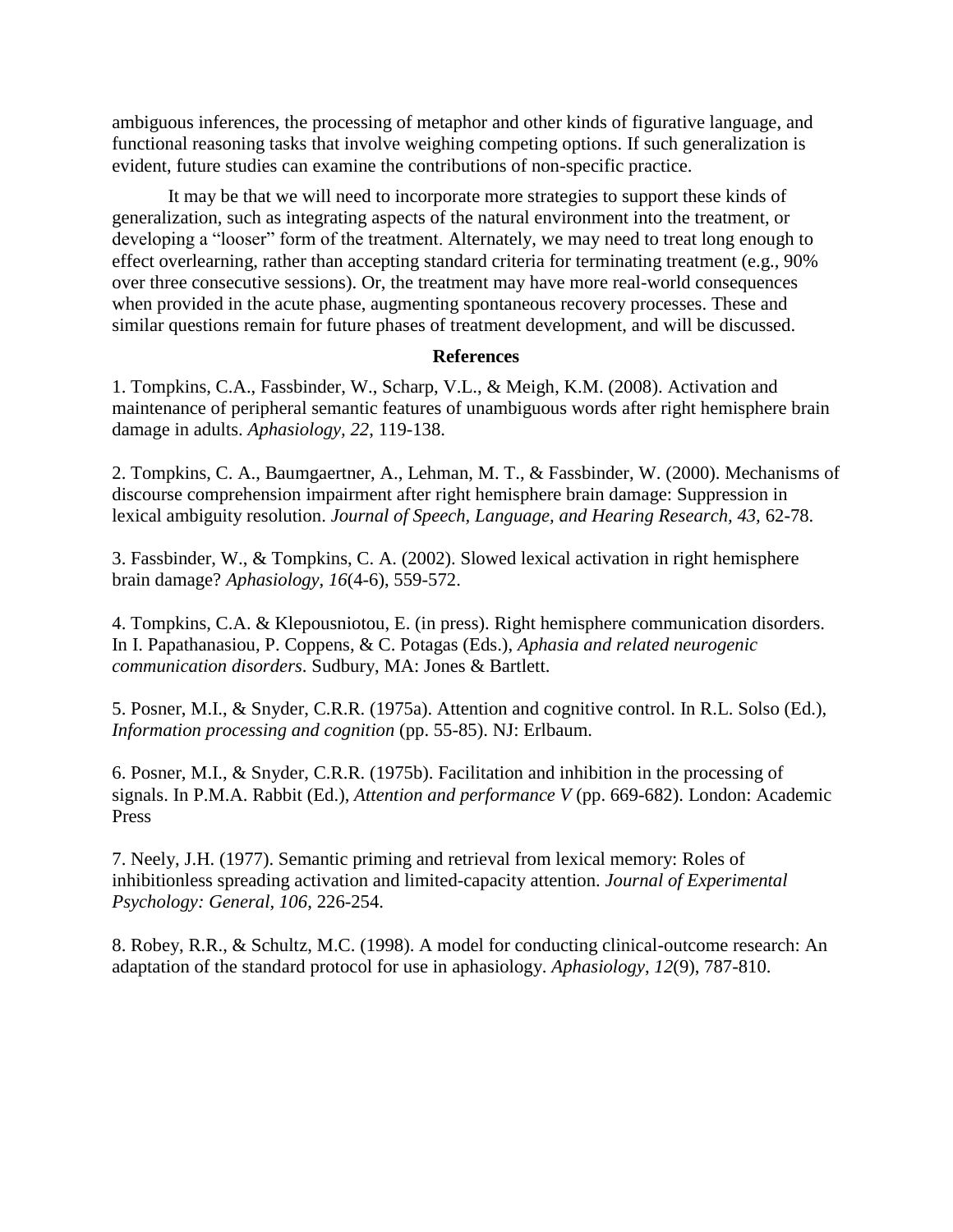ambiguous inferences, the processing of metaphor and other kinds of figurative language, and functional reasoning tasks that involve weighing competing options. If such generalization is evident, future studies can examine the contributions of non-specific practice.

It may be that we will need to incorporate more strategies to support these kinds of generalization, such as integrating aspects of the natural environment into the treatment, or developing a "looser" form of the treatment. Alternately, we may need to treat long enough to effect overlearning, rather than accepting standard criteria for terminating treatment (e.g., 90% over three consecutive sessions). Or, the treatment may have more real-world consequences when provided in the acute phase, augmenting spontaneous recovery processes. These and similar questions remain for future phases of treatment development, and will be discussed.

## **References**

1. Tompkins, C.A., Fassbinder, W., Scharp, V.L., & Meigh, K.M. (2008). Activation and maintenance of peripheral semantic features of unambiguous words after right hemisphere brain damage in adults. *Aphasiology, 22*, 119-138.

2. Tompkins, C. A., Baumgaertner, A., Lehman, M. T., & Fassbinder, W. (2000). Mechanisms of discourse comprehension impairment after right hemisphere brain damage: Suppression in lexical ambiguity resolution. *Journal of Speech, Language, and Hearing Research, 43,* 62-78.

3. Fassbinder, W., & Tompkins, C. A. (2002). Slowed lexical activation in right hemisphere brain damage? *Aphasiology, 16*(4-6), 559-572.

4. Tompkins, C.A. & Klepousniotou, E. (in press). Right hemisphere communication disorders. In I. Papathanasiou, P. Coppens, & C. Potagas (Eds.), *Aphasia and related neurogenic communication disorders*. Sudbury, MA: Jones & Bartlett.

5. Posner, M.I., & Snyder, C.R.R. (1975a). Attention and cognitive control. In R.L. Solso (Ed.), *Information processing and cognition* (pp. 55-85). NJ: Erlbaum.

6. Posner, M.I., & Snyder, C.R.R. (1975b). Facilitation and inhibition in the processing of signals. In P.M.A. Rabbit (Ed.), *Attention and performance V* (pp. 669-682). London: Academic Press

7. Neely, J.H. (1977). Semantic priming and retrieval from lexical memory: Roles of inhibitionless spreading activation and limited-capacity attention. *Journal of Experimental Psychology: General, 106*, 226-254.

8. Robey, R.R., & Schultz, M.C. (1998). A model for conducting clinical-outcome research: An adaptation of the standard protocol for use in aphasiology. *Aphasiology*, *12*(9), 787-810.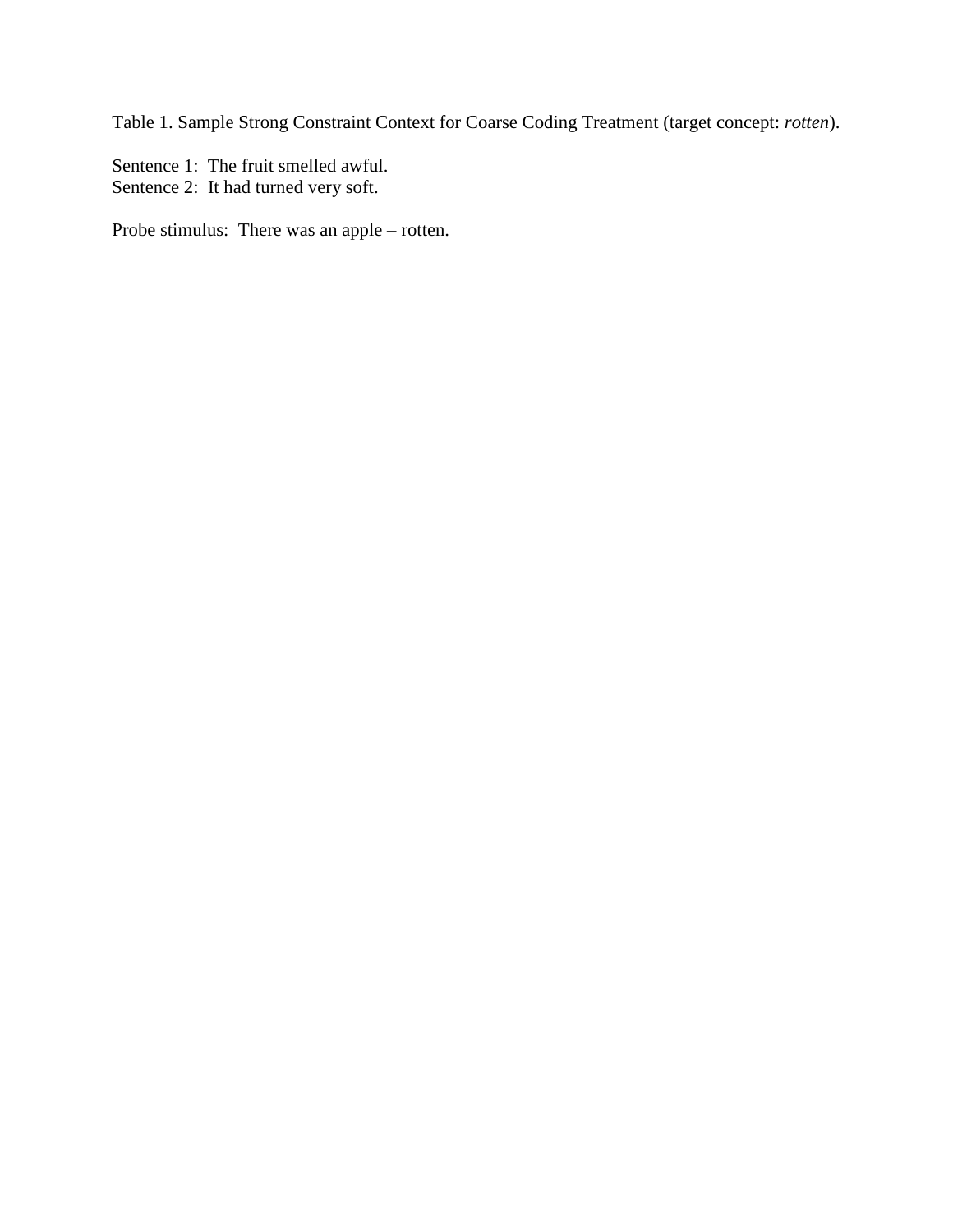Table 1. Sample Strong Constraint Context for Coarse Coding Treatment (target concept: *rotten*).

Sentence 1: The fruit smelled awful. Sentence 2: It had turned very soft.

Probe stimulus: There was an apple – rotten.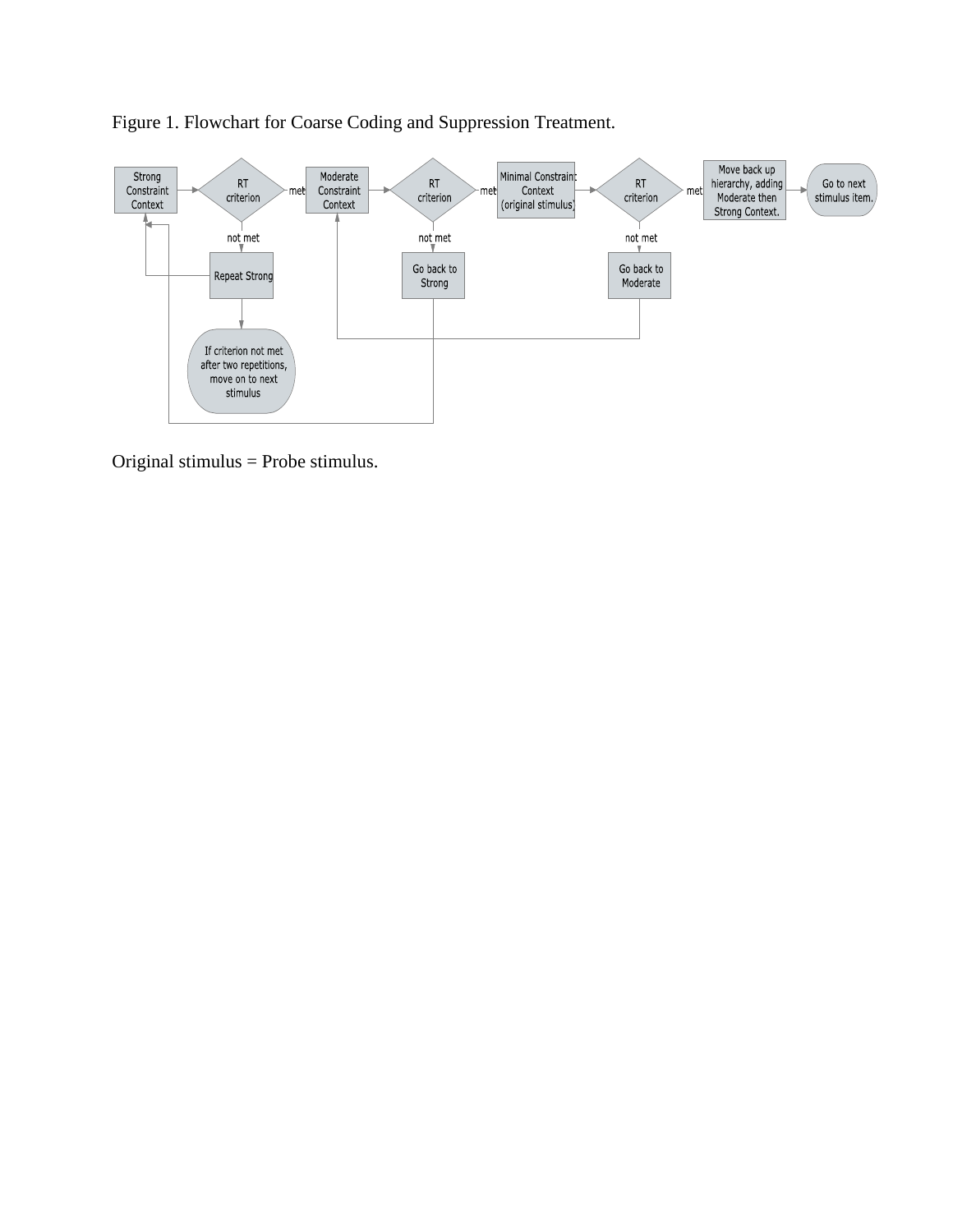

Figure 1. Flowchart for Coarse Coding and Suppression Treatment.

Original stimulus = Probe stimulus.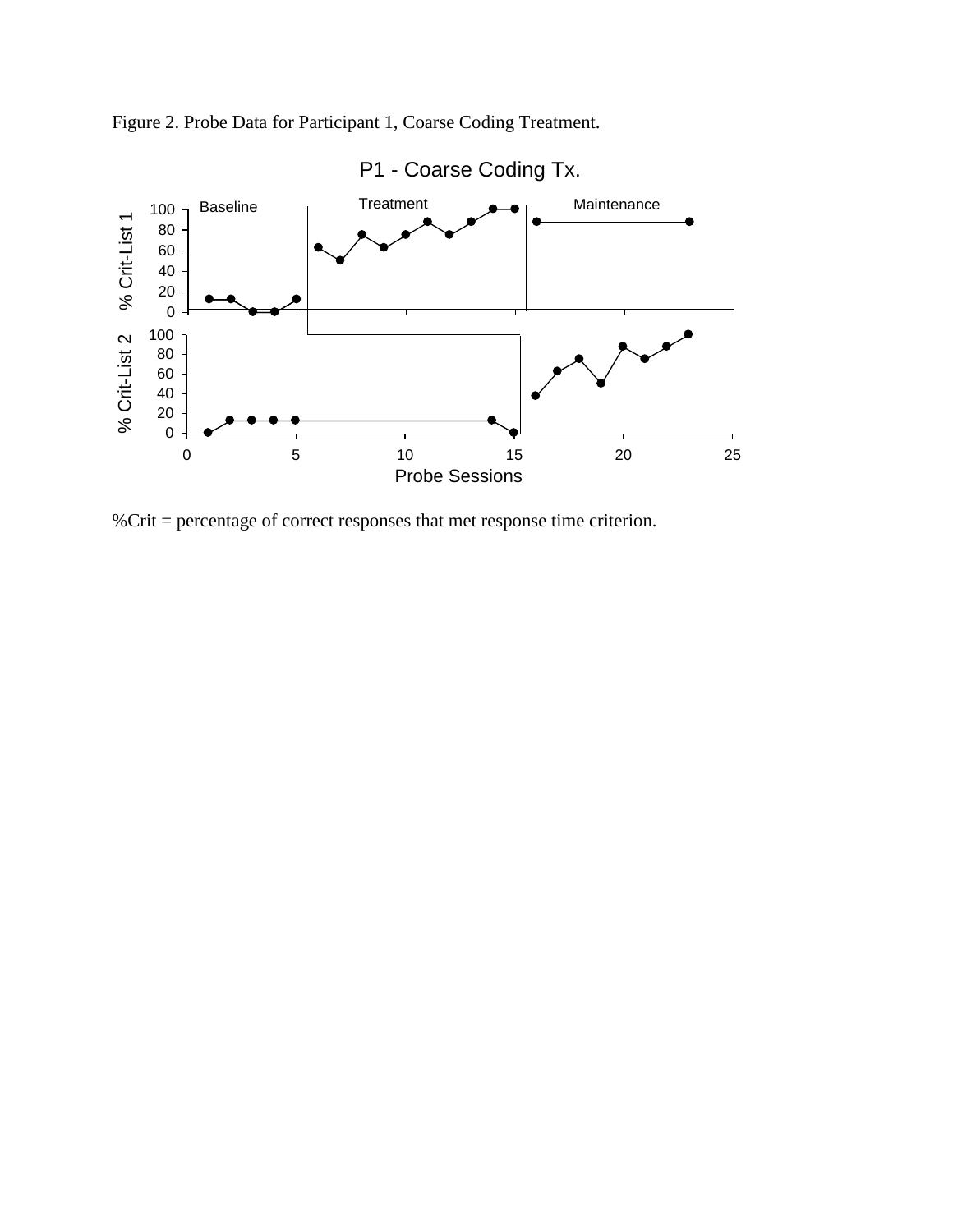

Figure 2. Probe Data for Participant 1, Coarse Coding Treatment.

%Crit = percentage of correct responses that met response time criterion.